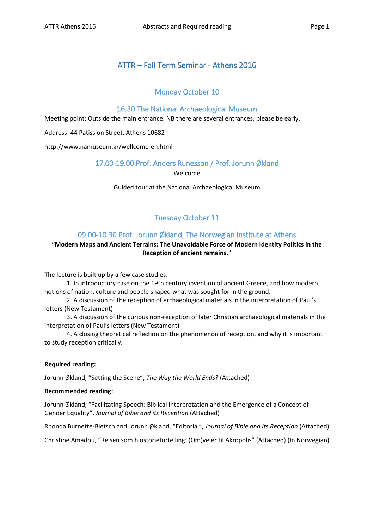# ATTR – Fall Term Seminar - Athens 2016

# Monday October 10

## 16.30 The National Archaeological Museum

Meeting point: Outside the main entrance. NB there are several entrances, please be early.

Address: 44 Patission Street, Athens 10682

http://www.namuseum.gr/wellcome-en.html

## 17.00-19.00 Prof. Anders Runesson / Prof. Jorunn Økland

Welcome

## Guided tour at the National Archaeological Museum

# Tuesday October 11

# 09.00-10.30 Prof. Jorunn Økland, The Norwegian Institute at Athens

## **"Modern Maps and Ancient Terrains: The Unavoidable Force of Modern Identity Politics in the Reception of ancient remains."**

The lecture is built up by a few case studies:

1. In introductory case on the 19th century invention of ancient Greece, and how modern notions of nation, culture and people shaped what was sought for in the ground.

2. A discussion of the reception of archaeological materials in the interpretation of Paul's letters (New Testament)

3. A discussion of the curious non-reception of later Christian archaeological materials in the interpretation of Paul's letters (New Testament)

4. A closing theoretical reflection on the phenomenon of reception, and why it is important to study reception critically.

### **Required reading:**

Jorunn Økland, "Setting the Scene", *The Way the World Ends?* (Attached)

### **Recommended reading:**

Jorunn Økland, "Facilitating Speech: Biblical Interpretation and the Emergence of a Concept of Gender Equality", *Journal of Bible and its Reception* (Attached)

Rhonda Burnette-Bletsch and Jorunn Økland, "Editorial", *Journal of Bible and its Reception* (Attached)

Christine Amadou, "Reisen som hiostoriefortelling: (Om)veier til Akropolis" (Attached) (In Norwegian)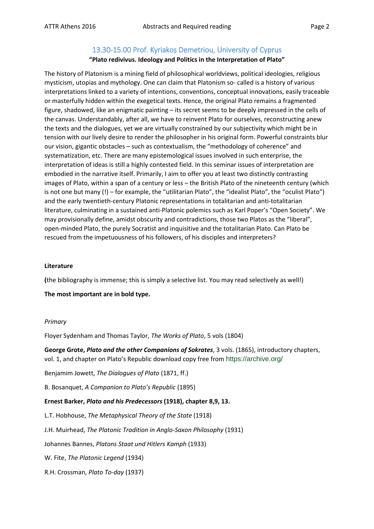# 13.30-15.00 Prof. Kyriakos Demetriou, University of Cyprus

## **"Plato redivivus. Ideology and Politics in the Interpretation of Plato"**

The history of Platonism is a mining field of philosophical worldviews, political ideologies, religious mysticism, utopias and mythology. One can claim that Platonism so- called is a history of various interpretations linked to a variety of intentions, conventions, conceptual innovations, easily traceable or masterfully hidden within the exegetical texts. Hence, the original Plato remains a fragmented figure, shadowed, like an enigmatic painting – its secret seems to be deeply impressed in the cells of the canvas. Understandably, after all, we have to reinvent Plato for ourselves, reconstructing anew the texts and the dialogues, yet we are virtually constrained by our subjectivity which might be in tension with our lively desire to render the philosopher in his original form. Powerful constraints blur our vision, gigantic obstacles – such as contextualism, the "methodology of coherence" and systematization, etc. There are many epistemological issues involved in such enterprise, the interpretation of ideas is still a highly contested field. In this seminar issues of interpretation are embodied in the narrative itself. Primarily, I aim to offer you at least two distinctly contrasting images of Plato, within a span of a century or less – the British Plato of the nineteenth century (which is not one but many (!) – for example, the "utilitarian Plato", the "idealist Plato", the "oculist Plato") and the early twentieth-century Platonic representations in totalitarian and anti-totalitarian literature, culminating in a sustained anti-Platonic polemics such as Karl Poper's "Open Society". We may provisionally define, amidst obscurity and contradictions, those two Platos as the "liberal", open-minded Plato, the purely Socratist and inquisitive and the totalitarian Plato. Can Plato be rescued from the impetuousness of his followers, of his disciples and interpreters?

### **Literature**

**(**the bibliography is immense; this is simply a selective list. You may read selectively as well!)

**The most important are in bold type.**

#### *Primary*

Floyer Sydenham and Thomas Taylor, *The Works of Plato*, 5 vols (1804)

**George Grote,** *Plato and the other Companions of Sokrates*, 3 vols. (1865), introductory chapters, vol. 1, and chapter on Plato's Republic download copy free from https://archive.org/

Benjamim Jowett, *The Dialogues of Plato* (1871, ff.)

B. Bosanquet, *A Companion to Plato's Republic* (1895)

### **Ernest Barker,** *Plato and his Predecessors* **(1918), chapter 8,9, 13.**

L.T. Hobhouse, *The Metaphysical Theory of the State* (1918)

J.H. Muirhead, *The Platonic Tradition in Anglo-Saxon Philosophy* (1931)

Johannes Bannes, *Platons Staat und Hitlers Kamph* (1933)

W. Fite, *The Platonic Legend* (1934)

R.H. Crossman, *Plato To-day* (1937)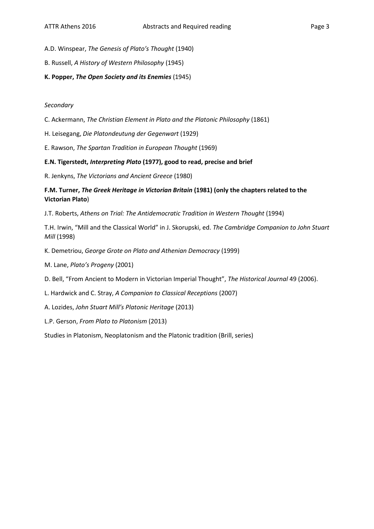A.D. Winspear, *The Genesis of Plato's Thought* (1940)

- B. Russell, *A History of Western Philosophy* (1945)
- **K. Popper,** *The Open Society and its Enemies* (1945)

#### *Secondary*

- C. Ackermann, *The Christian Element in Plato and the Platonic Philosophy* (1861)
- H. Leisegang, *Die Platondeutung der Gegenwart* (1929)
- E. Rawson, *The Spartan Tradition in European Thought* (1969)

#### **E.N. Tigerstedt,** *Interpreting Plato* **(1977), good to read, precise and brief**

R. Jenkyns, *The Victorians and Ancient Greece* (1980)

## **F.M. Turner,** *The Greek Heritage in Victorian Britain* **(1981) (only the chapters related to the Victorian Plato**)

J.T. Roberts, *Athens on Trial: The Antidemocratic Tradition in Western Thought* (1994)

T.H. Irwin, "Mill and the Classical World" in J. Skorupski, ed. *The Cambridge Companion to John Stuart Mill* (1998)

- K. Demetriou, *George Grote on Plato and Athenian Democracy* (1999)
- M. Lane, *Plato's Progeny* (2001)

D. Bell, "From Ancient to Modern in Victorian Imperial Thought", *The Historical Journal* 49 (2006).

- L. Hardwick and C. Stray, *A Companion to Classical Receptions* (2007)
- A. Lozides, *John Stuart Mill's Platonic Heritage* (2013)
- L.P. Gerson, *From Plato to Platonism* (2013)

Studies in Platonism, Neoplatonism and the Platonic tradition (Brill, series)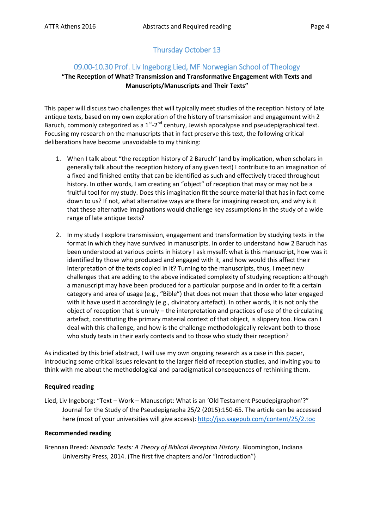# Thursday October 13

## 09.00-10.30 Prof. Liv Ingeborg Lied, MF Norwegian School of Theology

## **"The Reception of What? Transmission and Transformative Engagement with Texts and Manuscripts/Manuscripts and Their Texts"**

This paper will discuss two challenges that will typically meet studies of the reception history of late antique texts, based on my own exploration of the history of transmission and engagement with 2 Baruch, commonly categorized as a  $1^{st}$ - $2^{nd}$  century, Jewish apocalypse and pseudepigraphical text. Focusing my research on the manuscripts that in fact preserve this text, the following critical deliberations have become unavoidable to my thinking:

- 1. When I talk about "the reception history of 2 Baruch" (and by implication, when scholars in generally talk about the reception history of any given text) I contribute to an imagination of a fixed and finished entity that can be identified as such and effectively traced throughout history. In other words, I am creating an "object" of reception that may or may not be a fruitful tool for my study. Does this imagination fit the source material that has in fact come down to us? If not, what alternative ways are there for imagining reception, and why is it that these alternative imaginations would challenge key assumptions in the study of a wide range of late antique texts?
- 2. In my study I explore transmission, engagement and transformation by studying texts in the format in which they have survived in manuscripts. In order to understand how 2 Baruch has been understood at various points in history I ask myself: what is this manuscript, how was it identified by those who produced and engaged with it, and how would this affect their interpretation of the texts copied in it? Turning to the manuscripts, thus, I meet new challenges that are adding to the above indicated complexity of studying reception: although a manuscript may have been produced for a particular purpose and in order to fit a certain category and area of usage (e.g., "Bible") that does not mean that those who later engaged with it have used it accordingly (e.g., divinatory artefact). In other words, it is not only the object of reception that is unruly – the interpretation and practices of use of the circulating artefact, constituting the primary material context of that object, is slippery too. How can I deal with this challenge, and how is the challenge methodologically relevant both to those who study texts in their early contexts and to those who study their reception?

As indicated by this brief abstract, I will use my own ongoing research as a case in this paper, introducing some critical issues relevant to the larger field of reception studies, and inviting you to think with me about the methodological and paradigmatical consequences of rethinking them.

### **Required reading**

Lied, Liv Ingeborg: "Text – Work – Manuscript: What is an 'Old Testament Pseudepigraphon'?" Journal for the Study of the Pseudepigrapha 25/2 (2015):150-65. The article can be accessed here (most of your universities will give access):<http://jsp.sagepub.com/content/25/2.toc>

### **Recommended reading**

Brennan Breed: *Nomadic Texts: A Theory of Biblical Reception History*. Bloomington, Indiana University Press, 2014. (The first five chapters and/or "Introduction")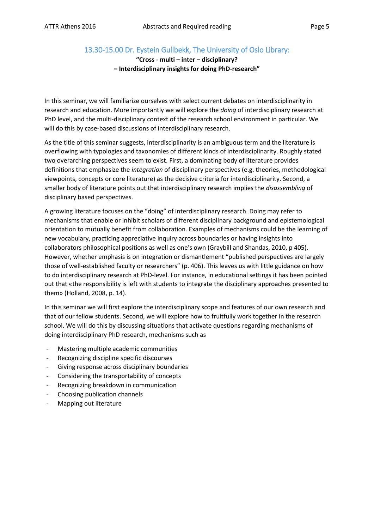# 13.30-15.00 Dr. Eystein Gullbekk, The University of Oslo Library:

**"Cross - multi – inter – disciplinary? – Interdisciplinary insights for doing PhD-research"**

In this seminar, we will familiarize ourselves with select current debates on interdisciplinarity in research and education. More importantly we will explore the *doing* of interdisciplinary research at PhD level, and the multi-disciplinary context of the research school environment in particular. We will do this by case-based discussions of interdisciplinary research.

As the title of this seminar suggests, interdisciplinarity is an ambiguous term and the literature is overflowing with typologies and taxonomies of different kinds of interdisciplinarity. Roughly stated two overarching perspectives seem to exist. First, a dominating body of literature provides definitions that emphasize the *integration* of disciplinary perspectives (e.g. theories, methodological viewpoints, concepts or core literature) as the decisive criteria for interdisciplinarity. Second, a smaller body of literature points out that interdisciplinary research implies the *disassembling* of disciplinary based perspectives.

A growing literature focuses on the "doing" of interdisciplinary research. Doing may refer to mechanisms that enable or inhibit scholars of different disciplinary background and epistemological orientation to mutually benefit from collaboration. Examples of mechanisms could be the learning of new vocabulary, practicing appreciative inquiry across boundaries or having insights into collaborators philosophical positions as well as one's own (Graybill and Shandas, 2010, p 405). However, whether emphasis is on integration or dismantlement "published perspectives are largely those of well-established faculty or researchers" (p. 406). This leaves us with little guidance on how to do interdisciplinary research at PhD-level. For instance, in educational settings it has been pointed out that «the responsibility is left with students to integrate the disciplinary approaches presented to them» (Holland, 2008, p. 14).

In this seminar we will first explore the interdisciplinary scope and features of our own research and that of our fellow students. Second, we will explore how to fruitfully work together in the research school. We will do this by discussing situations that activate questions regarding mechanisms of doing interdisciplinary PhD research, mechanisms such as

- Mastering multiple academic communities
- Recognizing discipline specific discourses
- Giving response across disciplinary boundaries
- Considering the transportability of concepts
- Recognizing breakdown in communication
- Choosing publication channels
- Mapping out literature